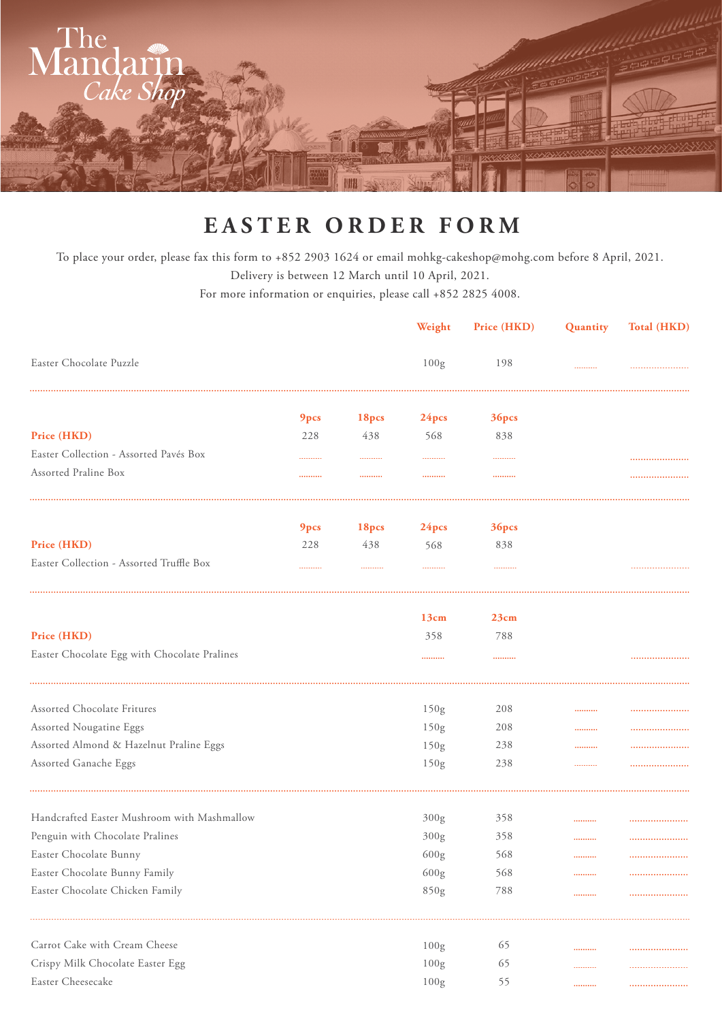

## **EASTER ORDER FORM**

To place your order, please fax this form to +852 2903 1624 or email mohkg-cakeshop@mohg.com before 8 April, 2021. Delivery is between 12 March until 10 April, 2021.

For more information or enquiries, please call +852 2825 4008.

|                                              |      |       | Weight            | Price (HKD) | Quantity | Total (HKD) |
|----------------------------------------------|------|-------|-------------------|-------------|----------|-------------|
| Easter Chocolate Puzzle                      |      |       | 100g              | 198         |          |             |
|                                              | 9pcs | 18pcs | 24 <sub>pcs</sub> | 36pcs       |          |             |
| Price (HKD)                                  | 228  | 438   | 568               | 838         |          |             |
| Easter Collection - Assorted Pavés Box       |      |       |                   |             |          |             |
| Assorted Praline Box                         |      |       |                   |             |          | .           |
|                                              | 9pcs | 18pcs | 24pcs             | 36pcs       |          |             |
| Price (HKD)                                  | 228  | 438   | 568               | 838         |          |             |
| Easter Collection - Assorted Truffle Box     |      |       |                   |             |          |             |
|                                              |      |       | 13cm              | 23cm        |          |             |
| Price (HKD)                                  |      |       | 358               | 788         |          |             |
| Easter Chocolate Egg with Chocolate Pralines |      |       |                   |             |          |             |
| Assorted Chocolate Fritures                  |      |       | 150g              | 208         |          |             |
| Assorted Nougatine Eggs                      |      |       | 150g              | 208         |          |             |
| Assorted Almond & Hazelnut Praline Eggs      |      |       | 150g              | 238         |          |             |
| Assorted Ganache Eggs                        |      |       | 150g              | 238         |          |             |
| Handcrafted Easter Mushroom with Mashmallow  |      |       | 300 <sub>g</sub>  | 358         |          |             |
| Penguin with Chocolate Pralines              |      |       | 300g              | 358         |          |             |
| Easter Chocolate Bunny                       |      |       | 600 <sub>g</sub>  | 568         |          |             |
| Easter Chocolate Bunny Family                |      |       | 600 <sub>g</sub>  | 568         |          |             |
| Easter Chocolate Chicken Family              |      |       | 850g              | 788         |          |             |
| Carrot Cake with Cream Cheese                |      |       | 100 <sub>g</sub>  | 65          |          |             |
| Crispy Milk Chocolate Easter Egg             |      |       | 100g              | 65          |          |             |
| Easter Cheesecake                            |      |       | 100g              | 55          |          |             |